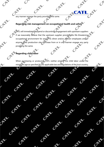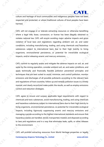## **CAIL**

culture and heritage of local communities and indigenous peoples have not been respected and protected, or where traditional cultures of local peoples have been harmed.

CATL will not engage in or tolerate extracting resources or otherwise benefiting where a legal title, lease, concession, or license has been illegally obtained or violates national law. CATL will ensure avoiding major adverse impacts and gross violation of local laws and regulations regarding ambient soil, air, and water conditions, including manufacturing, trading, and using chemicals and hazardous substances subject to international bans due to their high toxicity to living organisms, environmental persistence, or potential for irreversible ecological impacts, and/or releasing arsenic and mercury emissions.

CATL commit to regularly assess and mitigate the adverse impacts on soil, air, and water by the mining operation, consider ambient soil, air, and water conditions, and apply technically and financially feasible pollution prevention principles and techniques that are best suited to avoid, minimize, and control pollution, monitor emissions and discharges of all possible pollutants according to the relevant laws and regulations of host countries, follow up and remedy pollution issues in a timely manner, and clearly record and make public the results, as well as employ emissions control and reduction strategies.

CATL agree to ensure and surpass applicable legal requirements with regard to chemicals and toxic substances, avoid manufacturing, trading, and using chemicals and hazardous substances subject to international bans due to their high toxicity to living organisms, environmental persistence, or potential for irreversible ecological impacts, including rigorously suppressing arsenic and mercury emissions and managing cyanide according to the highest international standards and ensure that hazardous wastes are handled, stored, transported, treated, and disposed according to laws and regulations and in a way that eliminates leaks, spills, or other releases to the environment.

CATL will prohibit extracting resources from World Heritage properties or legally

**Contemporary Amperex Technology Co., Limited www.catl.com**